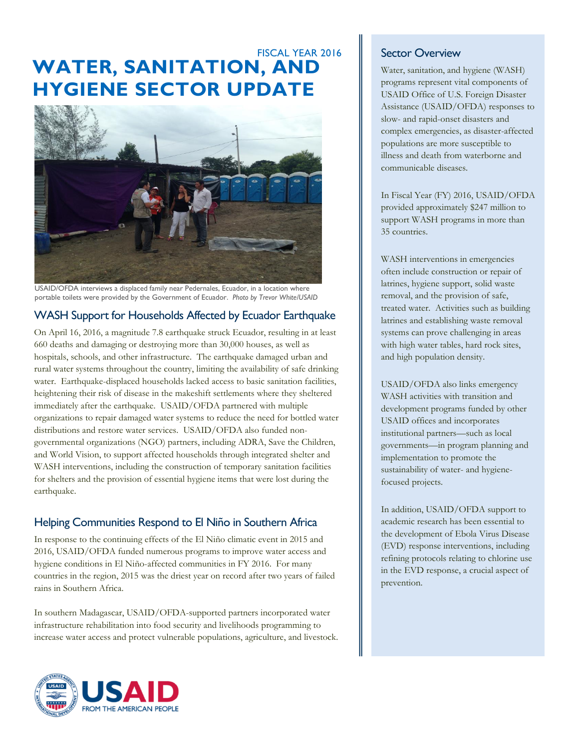# **WATER, SANITATION, AND HYGIENE SECTOR UPDATE** FISCAL YEAR 2016



USAID/OFDA interviews a displaced family near Pedernales, Ecuador, in a location where portable toilets were provided by the Government of Ecuador. *Photo by Trevor White/USAID*

## WASH Support for Households Affected by Ecuador Earthquake

On April 16, 2016, a magnitude 7.8 earthquake struck Ecuador, resulting in at least 660 deaths and damaging or destroying more than 30,000 houses, as well as hospitals, schools, and other infrastructure. The earthquake damaged urban and rural water systems throughout the country, limiting the availability of safe drinking water. Earthquake-displaced households lacked access to basic sanitation facilities, heightening their risk of disease in the makeshift settlements where they sheltered immediately after the earthquake. USAID/OFDA partnered with multiple organizations to repair damaged water systems to reduce the need for bottled water distributions and restore water services. USAID/OFDA also funded nongovernmental organizations (NGO) partners, including ADRA, Save the Children, and World Vision, to support affected households through integrated shelter and WASH interventions, including the construction of temporary sanitation facilities for shelters and the provision of essential hygiene items that were lost during the earthquake.

## Helping Communities Respond to El Niño in Southern Africa

In response to the continuing effects of the El Niño climatic event in 2015 and 2016, USAID/OFDA funded numerous programs to improve water access and hygiene conditions in El Niño-affected communities in FY 2016. For many countries in the region, 2015 was the driest year on record after two years of failed rains in Southern Africa.

In southern Madagascar, USAID/OFDA-supported partners incorporated water infrastructure rehabilitation into food security and livelihoods programming to increase water access and protect vulnerable populations, agriculture, and livestock.



## Sector Overview

Water, sanitation, and hygiene (WASH) programs represent vital components of USAID Office of U.S. Foreign Disaster Assistance (USAID/OFDA) responses to slow- and rapid-onset disasters and complex emergencies, as disaster-affected populations are more susceptible to illness and death from waterborne and communicable diseases.

In Fiscal Year (FY) 2016, USAID/OFDA provided approximately \$247 million to support WASH programs in more than 35 countries.

WASH interventions in emergencies often include construction or repair of latrines, hygiene support, solid waste removal, and the provision of safe, treated water. Activities such as building latrines and establishing waste removal systems can prove challenging in areas with high water tables, hard rock sites, and high population density.

USAID/OFDA also links emergency WASH activities with transition and development programs funded by other USAID offices and incorporates institutional partners—such as local governments—in program planning and implementation to promote the sustainability of water- and hygienefocused projects.

In addition, USAID/OFDA support to academic research has been essential to the development of Ebola Virus Disease (EVD) response interventions, including refining protocols relating to chlorine use in the EVD response, a crucial aspect of prevention.